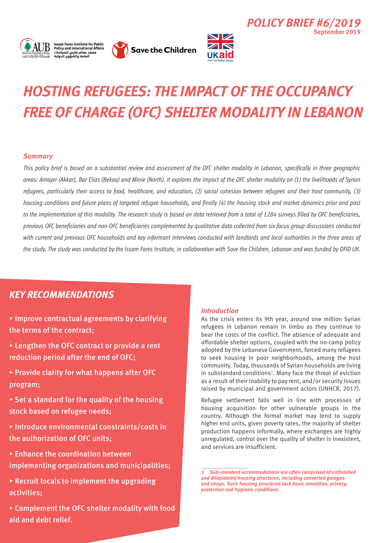



**Save the Children** 



# *Hosting Refugees: the Impact of the Occupancy Free of Charge (OFC) Shelter Modality in Lebanon*

## *Summary*

*This policy brief is based on a substantial review and assessment of the OFC shelter modality in Lebanon, specifically in three geographic areas: Amayer (Akkar), Bar Elias (Bekaa) and Minie (North). It explores the impact of the OFC shelter modality on (1) the livelihoods of Syrian refugees, particularly their access to food, healthcare, and education, (2) social cohesion between refugees and their host community, (3) housing conditions and future plans of targeted refugee households, and finally (4) the housing stock and market dynamics prior and post to the implementation of this modality. The research study is based on data retrieved from a total of 1284 surveys filled by OFC beneficiaries, previous OFC beneficiaries and non-OFC beneficiaries complemented by qualitative data collected from six focus group discussions conducted with current and previous OFC households and key informant interviews conducted with landlords and local authorities in the three areas of the study. The study was conducted by the Issam Fares Institute, in collaboration with Save the Children, Lebanon and was funded by DFID UK.*

# *KEY recommendations*

- ▸ Improve contractual agreements by clarifying the terms of the contract;
- ▸ Lengthen the OFC contract or provide a rent reduction period after the end of OFC;
- ▸ Provide clarity for what happens after OFC program;
- $\triangleright$  Set a standard for the quality of the housing stock based on refugee needs;
- ▸ Introduce environmental constraints/costs in the authorization of OFC units;
- ▸ Enhance the coordination between implementing organizations and municipalities;
- $\triangleright$  Recruit locals to implement the upgrading activities;
- ▸ Complement the OFC shelter modality with food aid and debt relief.

### *Introduction*

As the crisis enters its 9th year, around one million Syrian refugees in Lebanon remain in limbo as they continue to bear the costs of the conflict. The absence of adequate and affordable shelter options, coupled with the no-camp policy adopted by the Lebanese Government, forced many refugees to seek housing in poor neighborhoods, among the host community. Today, thousands of Syrian households are living in substandard conditions<sup>1</sup>. Many face the threat of eviction as a result of their inability to pay rent, and/or security issues raised by municipal and government actors (UNHCR, 2017).

*Policy Brief #6/2019*

**September 2019**

Refugee settlement falls well in line with processes of housing acquisition for other vulnerable groups in the country. Although the formal market may tend to supply higher end units, given poverty rates, the majority of shelter production happens informally, where exchanges are highly unregulated, control over the quality of shelter is inexistent, and services are insufficient.

*<sup>1</sup>Sub-standard accommodations are often comprised of unfinished and dilapidated housing structures, including converted garages and shops. Such housing structures lack basic amenities, privacy, protection and hygienic conditions.*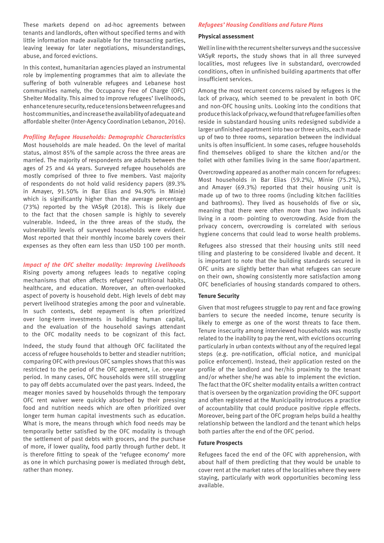These markets depend on ad-hoc agreements between tenants and landlords, often without specified terms and with little information made available for the transacting parties, leaving leeway for later negotiations, misunderstandings, abuse, and forced evictions.

In this context, humanitarian agencies played an instrumental role by implementing programmes that aim to alleviate the suffering of both vulnerable refugees and Lebanese host communities namely, the Occupancy Free of Charge (OFC) Shelter Modality. This aimed to improve refugees' livelihoods, enhance tenure security, reduce tensions between refugees and host communities, and increase the availability of adequate and affordable shelter (Inter-Agency Coordination Lebanon, 2016).

#### *Profiling Refugee Households: Demographic Characteristics*

Most households are male headed. On the level of marital status, almost 85% of the sample across the three areas are married. The majority of respondents are adults between the ages of 25 and 44 years. Surveyed refugee households are mostly comprised of three to five members. Vast majority of respondents do not hold valid residency papers (89.3% in Amayer, 91.50% in Bar Elias and 94.90% in Minie) which is significantly higher than the average percentage (73%) reported by the VASyR (2018). This is likely due to the fact that the chosen sample is highly to severely vulnerable. Indeed, in the three areas of the study, the vulnerability levels of surveyed households were evident. Most reported that their monthly income barely covers their expenses as they often earn less than USD 100 per month.

#### *Impact of the OFC shelter modality: Improving Livelihoods*

Rising poverty among refugees leads to negative coping mechanisms that often affects refugees' nutritional habits, healthcare, and education. Moreover, an often-overlooked aspect of poverty is household debt. High levels of debt may pervert livelihood strategies among the poor and vulnerable. In such contexts, debt repayment is often prioritized over long-term investments in building human capital, and the evaluation of the household savings attendant to the OFC modality needs to be cognizant of this fact.

Indeed, the study found that although OFC facilitated the access of refugee households to better and steadier nutrition; comparing OFC with previous OFC samples shows that this was restricted to the period of the OFC agreement, i.e. one-year period. In many cases, OFC households were still struggling to pay off debts accumulated over the past years. Indeed, the meager monies saved by households through the temporary OFC rent waiver were quickly absorbed by their pressing food and nutrition needs which are often prioritized over longer term human capital investments such as education. What is more, the means through which food needs may be temporarily better satisfied by the OFC modality is through the settlement of past debts with grocers, and the purchase of more, if lower quality, food partly through further debt. It is therefore fitting to speak of the 'refugee economy' more as one in which purchasing power is mediated through debt, rather than money.

#### *Refugees' Housing Conditions and Future Plans*

#### **Physical assessment**

Well in line with the recurrent shelter surveys and the successive VASyR reports, the study shows that in all three surveyed localities, most refugees live in substandard, overcrowded conditions, often in unfinished building apartments that offer insufficient services.

Among the most recurrent concerns raised by refugees is the lack of privacy, which seemed to be prevalent in both OFC and non-OFC housing units. Looking into the conditions that produce this lack of privacy, we found that refugee families often reside in substandard housing units redesigned subdivide a larger unfinished apartment into two or three units, each made up of two to three rooms, separation between the individual units is often insufficient. In some cases, refugee households find themselves obliged to share the kitchen and/or the toilet with other families living in the same floor/apartment.

Overcrowding appeared as another main concern for refugees: Most households in Bar Elias (59.2%), Minie (75.2%), and Amayer (69.3%) reported that their housing unit is made up of two to three rooms (including kitchen facilities and bathrooms). They lived as households of five or six, meaning that there were often more than two individuals living in a room- pointing to overcrowding. Aside from the privacy concern, overcrowding is correlated with serious hygiene concerns that could lead to worse health problems.

Refugees also stressed that their housing units still need tiling and plastering to be considered livable and decent. It is important to note that the building standards secured in OFC units are slightly better than what refugees can secure on their own, showing consistently more satisfaction among OFC beneficiaries of housing standards compared to others.

#### **Tenure Security**

Given that most refugees struggle to pay rent and face growing barriers to secure the needed income, tenure security is likely to emerge as one of the worst threats to face them. Tenure insecurity among interviewed households was mostly related to the inability to pay the rent, with evictions occurring particularly in urban contexts without any of the required legal steps (e.g. pre-notification, official notice, and municipal police enforcement). Instead, their application rested on the profile of the landlord and her/his proximity to the tenant and/or whether she/he was able to implement the eviction. The fact that the OFC shelter modality entails a written contract that is overseen by the organization providing the OFC support and often registered at the Municipality introduces a practice of accountability that could produce positive ripple effects. Moreover, being part of the OFC program helps build a healthy relationship between the landlord and the tenant which helps both parties after the end of the OFC period.

#### **Future Prospects**

Refugees faced the end of the OFC with apprehension, with about half of them predicting that they would be unable to cover rent at the market rates of the localities where they were staying, particularly with work opportunities becoming less available.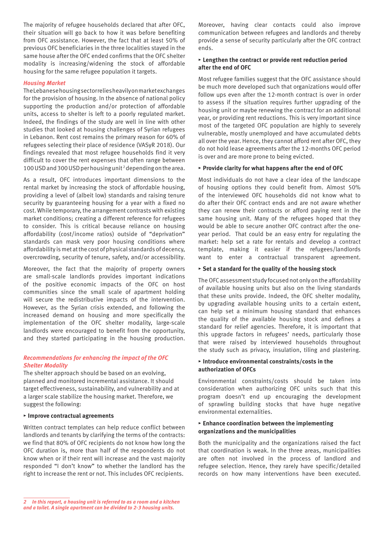The majority of refugee households declared that after OFC, their situation will go back to how it was before benefiting from OFC assistance. However, the fact that at least 50% of previous OFC beneficiaries in the three localities stayed in the same house after the OFC ended confirms that the OFC shelter modality is increasing/widening the stock of affordable housing for the same refugee population it targets.

#### *Housing Market*

The Lebanese housing sector relies heavily on market exchanges for the provision of housing. In the absence of national policy supporting the production and/or protection of affordable units, access to shelter is left to a poorly regulated market. Indeed, the findings of the study are well in line with other studies that looked at housing challenges of Syrian refugees in Lebanon. Rent cost remains the primary reason for 60% of refugees selecting their place of residence (VASyR 2018). Our findings revealed that most refugee households find it very difficult to cover the rent expenses that often range between 100 USD and 300 USD per housing unit 2 depending on the area.

As a result, OFC introduces important dimensions to the rental market by increasing the stock of affordable housing, providing a level of (albeit low) standards and raising tenure security by guaranteeing housing for a year with a fixed no cost. While temporary, the arrangement contrasts with existing market conditions; creating a different reference for refugees to consider. This is critical because reliance on housing affordability (cost/income ratios) outside of "deprivation" standards can mask very poor housing conditions where affordability is met at the cost of physical standards of decency, overcrowding, security of tenure, safety, and/or accessibility.

Moreover, the fact that the majority of property owners are small-scale landlords provides important indications of the positive economic impacts of the OFC on host communities since the small scale of apartment holding will secure the redistributive impacts of the intervention. However, as the Syrian crisis extended, and following the increased demand on housing and more specifically the implementation of the OFC shelter modality, large-scale landlords were encouraged to benefit from the opportunity, and they started participating in the housing production.

#### *Recommendations for enhancing the impact of the OFC Shelter Modality*

The shelter approach should be based on an evolving, planned and monitored incremental assistance. It should target effectiveness, sustainability, and vulnerability and at a larger scale stabilize the housing market. Therefore, we suggest the following:

#### **▸ Improve contractual agreements**

Written contract templates can help reduce conflict between landlords and tenants by clarifying the terms of the contracts: we find that 80% of OFC recipients do not know how long the OFC duration is, more than half of the respondents do not know when or if their rent will increase and the vast majority responded "I don't know" to whether the landlord has the right to increase the rent or not. This includes OFC recipients.

Moreover, having clear contacts could also improve communication between refugees and landlords and thereby provide a sense of security particularly after the OFC contract ends.

#### **▸ Lengthen the contract or provide rent reduction period after the end of OFC**

Most refugee families suggest that the OFC assistance should be much more developed such that organizations would offer follow ups even after the 12-month contract is over in order to assess if the situation requires further upgrading of the housing unit or maybe renewing the contract for an additional year, or providing rent reductions. This is very important since most of the targeted OFC population are highly to severely vulnerable, mostly unemployed and have accumulated debts all over the year. Hence, they cannot afford rent after OFC, they do not hold lease agreements after the 12-months OFC period is over and are more prone to being evicted.

#### **▸ Provide clarity for what happens after the end of OFC**

Most individuals do not have a clear idea of the landscape of housing options they could benefit from. Almost 50% of the interviewed OFC households did not know what to do after their OFC contract ends and are not aware whether they can renew their contracts or afford paying rent in the same housing unit. Many of the refugees hoped that they would be able to secure another OFC contract after the oneyear period. That could be an easy entry for regulating the market: help set a rate for rentals and develop a contract template, making it easier if the refugees/landlords want to enter a contractual transparent agreement.

#### **▸ Set a standard for the quality of the housing stock**

The OFC assessment study focused not only on the affordability of available housing units but also on the living standards that these units provide. Indeed, the OFC shelter modality, by upgrading available housing units to a certain extent, can help set a minimum housing standard that enhances the quality of the available housing stock and defines a standard for relief agencies. Therefore, it is important that this upgrade factors in refugees' needs, particularly those that were raised by interviewed households throughout the study such as privacy, insulation, tiling and plastering.

#### **▸ Introduce environmental constraints/costs in the authorization of OFCs**

Environmental constraints/costs should be taken into consideration when authorizing OFC units such that this program doesn't end up encouraging the development of sprawling building stocks that have huge negative environmental externalities.

#### **▸ Enhance coordination between the implementing organizations and the municipalities**

Both the municipality and the organizations raised the fact that coordination is weak. In the three areas, municipalities are often not involved in the process of landlord and refugee selection. Hence, they rarely have specific/detailed records on how many interventions have been executed.

*<sup>2</sup> In this report, a housing unit is referred to as a room and a kitchen and a toilet. A single apartment can be divided to 2-3 housing units.*